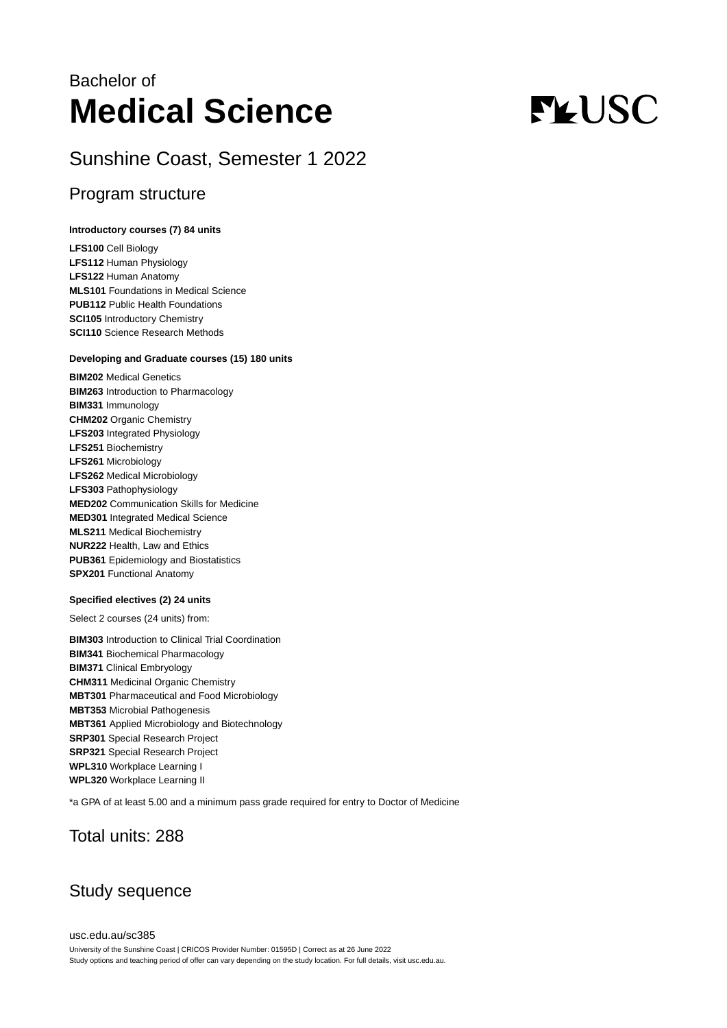## Bachelor of **Medical Science**

## Sunshine Coast, Semester 1 2022

## Program structure

#### **Introductory courses (7) 84 units**

**LFS100** Cell Biology **LFS112** Human Physiology **LFS122** Human Anatomy **MLS101** Foundations in Medical Science **PUB112** Public Health Foundations **SCI105** Introductory Chemistry **SCI110** Science Research Methods

#### **Developing and Graduate courses (15) 180 units**

**BIM202** Medical Genetics **BIM263** Introduction to Pharmacology **BIM331** Immunology **CHM202** Organic Chemistry **LFS203** Integrated Physiology **LFS251** Biochemistry **LFS261** Microbiology **LFS262** Medical Microbiology **LFS303** Pathophysiology **MED202** Communication Skills for Medicine **MED301** Integrated Medical Science **MLS211** Medical Biochemistry **NUR222** Health, Law and Ethics **PUB361** Epidemiology and Biostatistics **SPX201** Functional Anatomy

#### **Specified electives (2) 24 units**

Select 2 courses (24 units) from:

**BIM303** Introduction to Clinical Trial Coordination **BIM341** Biochemical Pharmacology **BIM371** Clinical Embryology **CHM311** Medicinal Organic Chemistry **MBT301** Pharmaceutical and Food Microbiology **MBT353** Microbial Pathogenesis **MBT361** Applied Microbiology and Biotechnology **SRP301** Special Research Project **SRP321** Special Research Project **WPL310** Workplace Learning I **WPL320** Workplace Learning II

\*a GPA of at least 5.00 and a minimum pass grade required for entry to Doctor of Medicine

## Total units: 288

## Study sequence

# **FLUSC**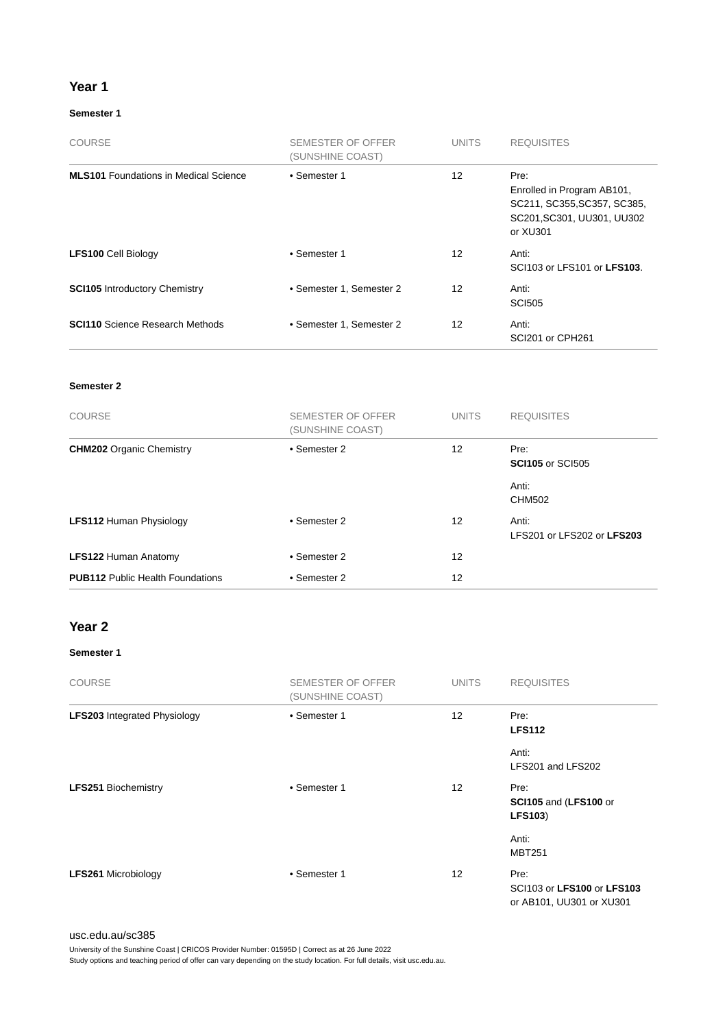#### **Year 1**

#### **Semester 1**

| <b>COURSE</b>                                | SEMESTER OF OFFER<br>(SUNSHINE COAST) | <b>UNITS</b>    | <b>REQUISITES</b>                                                                                           |
|----------------------------------------------|---------------------------------------|-----------------|-------------------------------------------------------------------------------------------------------------|
| <b>MLS101</b> Foundations in Medical Science | • Semester 1                          | 12 <sup>2</sup> | Pre:<br>Enrolled in Program AB101,<br>SC211, SC355, SC357, SC385,<br>SC201, SC301, UU301, UU302<br>or XU301 |
| <b>LFS100 Cell Biology</b>                   | • Semester 1                          | 12              | Anti:<br>SCI103 or LFS101 or LFS103.                                                                        |
| <b>SCI105</b> Introductory Chemistry         | • Semester 1, Semester 2              | 12              | Anti:<br><b>SCI505</b>                                                                                      |
| <b>SCI110</b> Science Research Methods       | • Semester 1, Semester 2              | 12 <sup>2</sup> | Anti:<br>SCI201 or CPH261                                                                                   |

#### **Semester 2**

| <b>COURSE</b>                           | SEMESTER OF OFFER<br>(SUNSHINE COAST) | <b>UNITS</b> | <b>REQUISITES</b>                   |
|-----------------------------------------|---------------------------------------|--------------|-------------------------------------|
| <b>CHM202</b> Organic Chemistry         | • Semester 2                          | 12           | Pre:<br><b>SCI105</b> or SCI505     |
|                                         |                                       |              | Anti:<br><b>CHM502</b>              |
| <b>LFS112 Human Physiology</b>          | • Semester 2                          | 12           | Anti:<br>LFS201 or LFS202 or LFS203 |
| <b>LFS122 Human Anatomy</b>             | • Semester 2                          | 12           |                                     |
| <b>PUB112 Public Health Foundations</b> | • Semester 2                          | 12           |                                     |

## **Year 2**

#### **Semester 1**

| <b>COURSE</b>                       | SEMESTER OF OFFER<br>(SUNSHINE COAST) | <b>UNITS</b>      | <b>REQUISITES</b>                                              |
|-------------------------------------|---------------------------------------|-------------------|----------------------------------------------------------------|
| <b>LFS203</b> Integrated Physiology | • Semester 1                          | 12                | Pre:<br><b>LFS112</b>                                          |
|                                     |                                       |                   | Anti:<br>LFS201 and LFS202                                     |
| <b>LFS251 Biochemistry</b>          | • Semester 1                          | 12                | Pre:<br>SCI105 and (LFS100 or<br><b>LFS103)</b>                |
|                                     |                                       |                   | Anti:<br><b>MBT251</b>                                         |
| <b>LFS261 Microbiology</b>          | • Semester 1                          | $12 \overline{ }$ | Pre:<br>SCI103 or LFS100 or LFS103<br>or AB101, UU301 or XU301 |

#### [usc.edu.au/sc385](https://www.usc.edu.au/sc385)

University of the Sunshine Coast | CRICOS Provider Number: 01595D | Correct as at 26 June 2022

Study options and teaching period of offer can vary depending on the study location. For full details, visit usc.edu.au.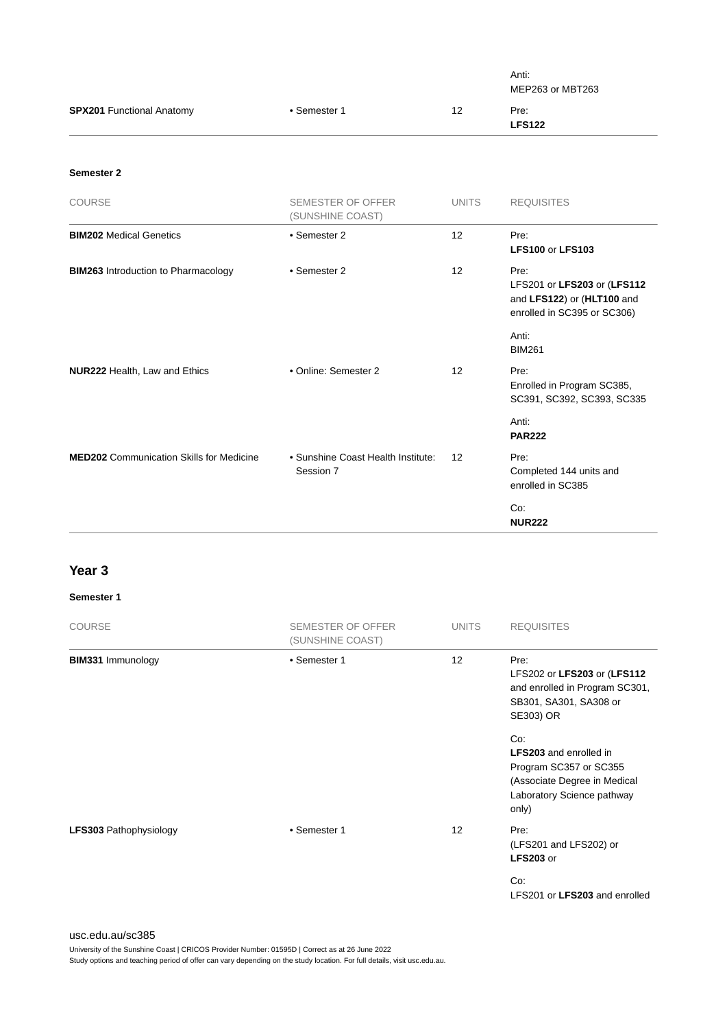|                                                 |                                                 |              | Anti:<br>MEP263 or MBT263                                                                        |
|-------------------------------------------------|-------------------------------------------------|--------------|--------------------------------------------------------------------------------------------------|
| <b>SPX201 Functional Anatomy</b>                | • Semester 1                                    | 12           | Pre:<br><b>LFS122</b>                                                                            |
| Semester 2                                      |                                                 |              |                                                                                                  |
| COURSE                                          | SEMESTER OF OFFER<br>(SUNSHINE COAST)           | <b>UNITS</b> | <b>REQUISITES</b>                                                                                |
| <b>BIM202 Medical Genetics</b>                  | • Semester 2                                    | 12           | Pre:<br><b>LFS100 or LFS103</b>                                                                  |
| <b>BIM263</b> Introduction to Pharmacology      | • Semester 2                                    | 12           | Pre:<br>LFS201 or LFS203 or (LFS112<br>and LFS122) or (HLT100 and<br>enrolled in SC395 or SC306) |
|                                                 |                                                 |              | Anti:<br><b>BIM261</b>                                                                           |
| NUR222 Health, Law and Ethics                   | • Online: Semester 2                            | 12           | Pre:<br>Enrolled in Program SC385,<br>SC391, SC392, SC393, SC335                                 |
|                                                 |                                                 |              | Anti:<br><b>PAR222</b>                                                                           |
| <b>MED202</b> Communication Skills for Medicine | • Sunshine Coast Health Institute:<br>Session 7 | 12           | Pre:<br>Completed 144 units and<br>enrolled in SC385                                             |
|                                                 |                                                 |              | Co:<br><b>NUR222</b>                                                                             |

## **Year 3**

#### **Semester 1**

| <b>COURSE</b>                 | <b>SEMESTER OF OFFER</b><br>(SUNSHINE COAST) | <b>UNITS</b> | <b>REQUISITES</b>                                                                                                                     |
|-------------------------------|----------------------------------------------|--------------|---------------------------------------------------------------------------------------------------------------------------------------|
| <b>BIM331 Immunology</b>      | • Semester 1                                 | 12           | Pre:<br>LFS202 or LFS203 or (LFS112<br>and enrolled in Program SC301,<br>SB301, SA301, SA308 or<br>SE303) OR                          |
|                               |                                              |              | Co:<br><b>LFS203</b> and enrolled in<br>Program SC357 or SC355<br>(Associate Degree in Medical<br>Laboratory Science pathway<br>only) |
| <b>LFS303 Pathophysiology</b> | • Semester 1                                 | 12           | Pre:<br>(LFS201 and LFS202) or<br><b>LFS203</b> or                                                                                    |
|                               |                                              |              | Co:<br>LFS201 or LFS203 and enrolled                                                                                                  |

#### [usc.edu.au/sc385](https://www.usc.edu.au/sc385)

University of the Sunshine Coast | CRICOS Provider Number: 01595D | Correct as at 26 June 2022

Study options and teaching period of offer can vary depending on the study location. For full details, visit usc.edu.au.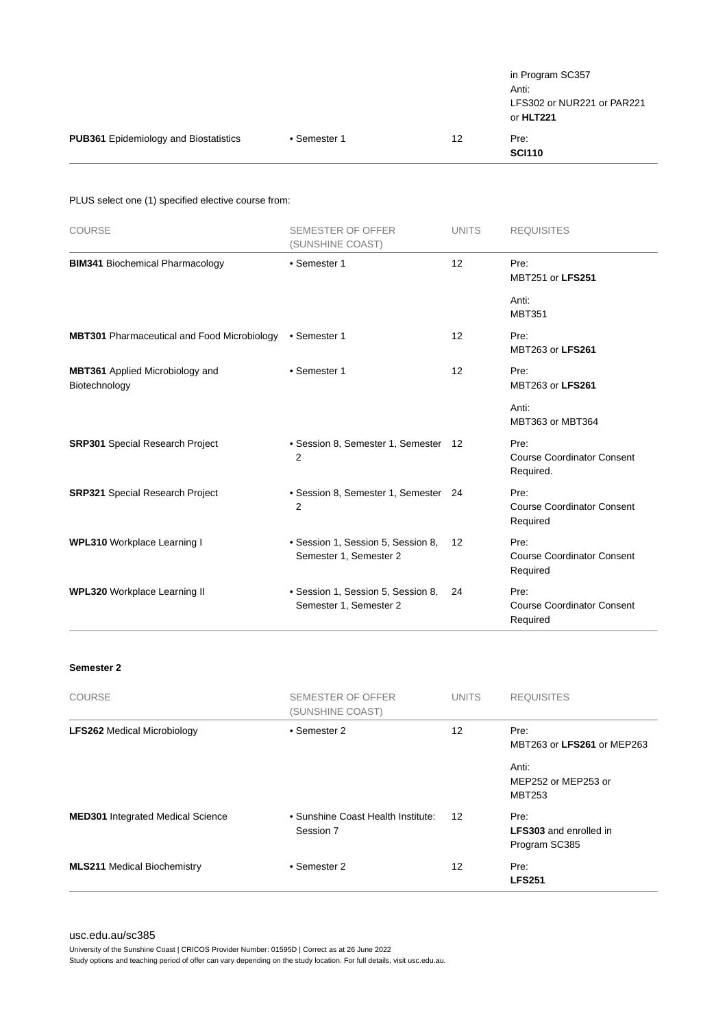|                                              |              |    | in Program SC357<br>Anti:<br>LFS302 or NUR221 or PAR221<br>or HLT221 |
|----------------------------------------------|--------------|----|----------------------------------------------------------------------|
| <b>PUB361</b> Epidemiology and Biostatistics | • Semester 1 | 12 | Pre:<br><b>SCI110</b>                                                |

PLUS select one (1) specified elective course from:

| <b>COURSE</b>                                           | <b>SEMESTER OF OFFER</b><br>(SUNSHINE COAST)                 | <b>UNITS</b> | <b>REQUISITES</b>                                      |
|---------------------------------------------------------|--------------------------------------------------------------|--------------|--------------------------------------------------------|
| <b>BIM341 Biochemical Pharmacology</b>                  | • Semester 1                                                 | 12           | Pre:<br>MBT251 or LFS251                               |
|                                                         |                                                              |              | Anti:<br><b>MBT351</b>                                 |
| <b>MBT301</b> Pharmaceutical and Food Microbiology      | • Semester 1                                                 | 12           | Pre:<br>MBT263 or LFS261                               |
| <b>MBT361</b> Applied Microbiology and<br>Biotechnology | • Semester 1                                                 | 12           | Pre:<br>MBT263 or LFS261                               |
|                                                         |                                                              |              | Anti:<br>MBT363 or MBT364                              |
| <b>SRP301</b> Special Research Project                  | • Session 8, Semester 1, Semester 12<br>$\overline{2}$       |              | Pre:<br><b>Course Coordinator Consent</b><br>Required. |
| <b>SRP321 Special Research Project</b>                  | • Session 8, Semester 1, Semester 24<br>2                    |              | Pre:<br><b>Course Coordinator Consent</b><br>Required  |
| <b>WPL310</b> Workplace Learning I                      | • Session 1, Session 5, Session 8,<br>Semester 1, Semester 2 | 12           | Pre:<br><b>Course Coordinator Consent</b><br>Required  |
| <b>WPL320 Workplace Learning II</b>                     | • Session 1, Session 5, Session 8,<br>Semester 1, Semester 2 | 24           | Pre:<br><b>Course Coordinator Consent</b><br>Required  |

#### **Semester 2**

| <b>COURSE</b>                            | <b>SEMESTER OF OFFER</b><br>(SUNSHINE COAST)    | <b>UNITS</b> | <b>REQUISITES</b>                                      |
|------------------------------------------|-------------------------------------------------|--------------|--------------------------------------------------------|
| <b>LFS262 Medical Microbiology</b>       | • Semester 2                                    | 12           | Pre:<br>MBT263 or LFS261 or MEP263                     |
|                                          |                                                 |              | Anti:<br>MEP252 or MEP253 or<br><b>MBT253</b>          |
| <b>MED301</b> Integrated Medical Science | • Sunshine Coast Health Institute:<br>Session 7 | 12           | Pre:<br><b>LFS303</b> and enrolled in<br>Program SC385 |
| <b>MLS211 Medical Biochemistry</b>       | • Semester 2                                    | 12           | Pre:<br><b>LFS251</b>                                  |

[usc.edu.au/sc385](https://www.usc.edu.au/sc385)

University of the Sunshine Coast | CRICOS Provider Number: 01595D | Correct as at 26 June 2022

Study options and teaching period of offer can vary depending on the study location. For full details, visit usc.edu.au.